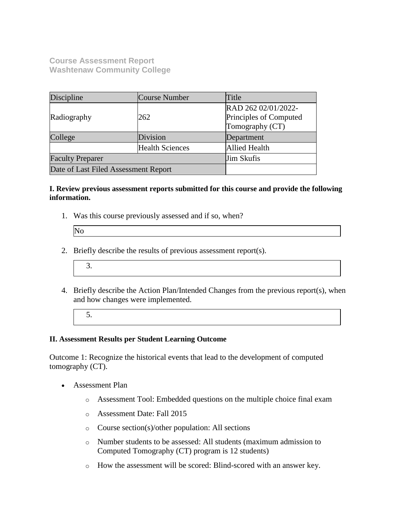**Course Assessment Report Washtenaw Community College**

| Discipline                           | Course Number          | Title                                         |  |
|--------------------------------------|------------------------|-----------------------------------------------|--|
| Radiography                          | 262                    | RAD 262 02/01/2022-<br>Principles of Computed |  |
|                                      |                        | Tomography (CT)                               |  |
| Division<br>College                  |                        | Department                                    |  |
|                                      | <b>Health Sciences</b> | <b>Allied Health</b>                          |  |
| <b>Faculty Preparer</b>              |                        | <b>Jim Skufis</b>                             |  |
| Date of Last Filed Assessment Report |                        |                                               |  |

### **I. Review previous assessment reports submitted for this course and provide the following information.**

1. Was this course previously assessed and if so, when?

- 2. Briefly describe the results of previous assessment report(s).
	- 3.
- 4. Briefly describe the Action Plan/Intended Changes from the previous report(s), when and how changes were implemented.
	- 5.

## **II. Assessment Results per Student Learning Outcome**

Outcome 1: Recognize the historical events that lead to the development of computed tomography (CT).

- Assessment Plan
	- o Assessment Tool: Embedded questions on the multiple choice final exam
	- o Assessment Date: Fall 2015
	- o Course section(s)/other population: All sections
	- o Number students to be assessed: All students (maximum admission to Computed Tomography (CT) program is 12 students)
	- o How the assessment will be scored: Blind-scored with an answer key.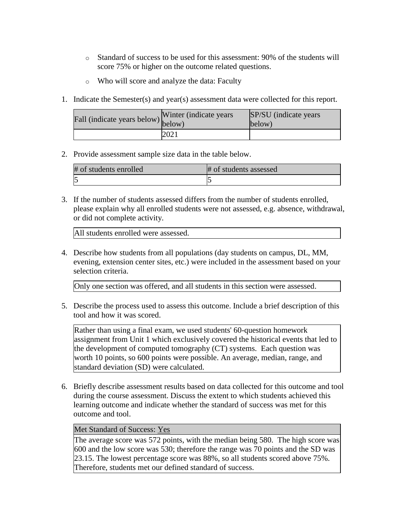- o Standard of success to be used for this assessment: 90% of the students will score 75% or higher on the outcome related questions.
- o Who will score and analyze the data: Faculty
- 1. Indicate the Semester(s) and year(s) assessment data were collected for this report.

| rall (indicate years below) below) | Winter (indicate years) | SP/SU (indicate years)<br>below) |
|------------------------------------|-------------------------|----------------------------------|
|                                    | 2021                    |                                  |

2. Provide assessment sample size data in the table below.

| # of students enrolled | # of students assessed |
|------------------------|------------------------|
|                        |                        |

3. If the number of students assessed differs from the number of students enrolled, please explain why all enrolled students were not assessed, e.g. absence, withdrawal, or did not complete activity.

All students enrolled were assessed.

4. Describe how students from all populations (day students on campus, DL, MM, evening, extension center sites, etc.) were included in the assessment based on your selection criteria.

Only one section was offered, and all students in this section were assessed.

5. Describe the process used to assess this outcome. Include a brief description of this tool and how it was scored.

Rather than using a final exam, we used students' 60-question homework assignment from Unit 1 which exclusively covered the historical events that led to the development of computed tomography (CT) systems. Each question was worth 10 points, so 600 points were possible. An average, median, range, and standard deviation (SD) were calculated.

6. Briefly describe assessment results based on data collected for this outcome and tool during the course assessment. Discuss the extent to which students achieved this learning outcome and indicate whether the standard of success was met for this outcome and tool.

## Met Standard of Success: Yes

The average score was 572 points, with the median being 580. The high score was 600 and the low score was 530; therefore the range was 70 points and the SD was 23.15. The lowest percentage score was 88%, so all students scored above 75%. Therefore, students met our defined standard of success.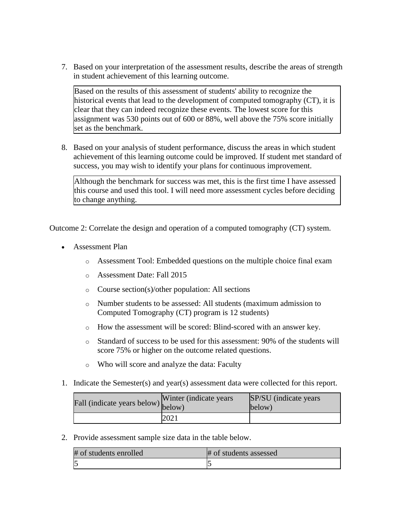7. Based on your interpretation of the assessment results, describe the areas of strength in student achievement of this learning outcome.

Based on the results of this assessment of students' ability to recognize the historical events that lead to the development of computed tomography (CT), it is clear that they can indeed recognize these events. The lowest score for this assignment was 530 points out of 600 or 88%, well above the 75% score initially set as the benchmark.

8. Based on your analysis of student performance, discuss the areas in which student achievement of this learning outcome could be improved. If student met standard of success, you may wish to identify your plans for continuous improvement.

Although the benchmark for success was met, this is the first time I have assessed this course and used this tool. I will need more assessment cycles before deciding to change anything.

Outcome 2: Correlate the design and operation of a computed tomography (CT) system.

- Assessment Plan
	- o Assessment Tool: Embedded questions on the multiple choice final exam
	- o Assessment Date: Fall 2015
	- o Course section(s)/other population: All sections
	- o Number students to be assessed: All students (maximum admission to Computed Tomography (CT) program is 12 students)
	- o How the assessment will be scored: Blind-scored with an answer key.
	- $\circ$  Standard of success to be used for this assessment: 90% of the students will score 75% or higher on the outcome related questions.
	- o Who will score and analyze the data: Faculty
- 1. Indicate the Semester(s) and year(s) assessment data were collected for this report.

| rall (indicate years below) below) | Winter (indicate years) | SP/SU (indicate years)<br>below) |
|------------------------------------|-------------------------|----------------------------------|
|                                    | 2021                    |                                  |

2. Provide assessment sample size data in the table below.

| # of students enrolled | # of students assessed |
|------------------------|------------------------|
|                        |                        |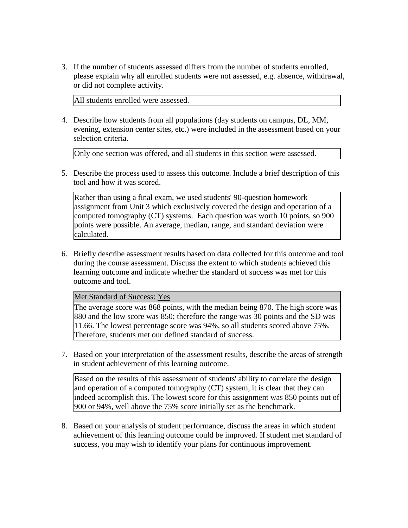3. If the number of students assessed differs from the number of students enrolled, please explain why all enrolled students were not assessed, e.g. absence, withdrawal, or did not complete activity.

All students enrolled were assessed.

4. Describe how students from all populations (day students on campus, DL, MM, evening, extension center sites, etc.) were included in the assessment based on your selection criteria.

Only one section was offered, and all students in this section were assessed.

5. Describe the process used to assess this outcome. Include a brief description of this tool and how it was scored.

Rather than using a final exam, we used students' 90-question homework assignment from Unit 3 which exclusively covered the design and operation of a computed tomography (CT) systems. Each question was worth 10 points, so 900 points were possible. An average, median, range, and standard deviation were calculated.

6. Briefly describe assessment results based on data collected for this outcome and tool during the course assessment. Discuss the extent to which students achieved this learning outcome and indicate whether the standard of success was met for this outcome and tool.

#### Met Standard of Success: Yes

The average score was 868 points, with the median being 870. The high score was 880 and the low score was 850; therefore the range was 30 points and the SD was 11.66. The lowest percentage score was 94%, so all students scored above 75%. Therefore, students met our defined standard of success.

7. Based on your interpretation of the assessment results, describe the areas of strength in student achievement of this learning outcome.

Based on the results of this assessment of students' ability to correlate the design and operation of a computed tomography (CT) system, it is clear that they can indeed accomplish this. The lowest score for this assignment was 850 points out of 900 or 94%, well above the 75% score initially set as the benchmark.

8. Based on your analysis of student performance, discuss the areas in which student achievement of this learning outcome could be improved. If student met standard of success, you may wish to identify your plans for continuous improvement.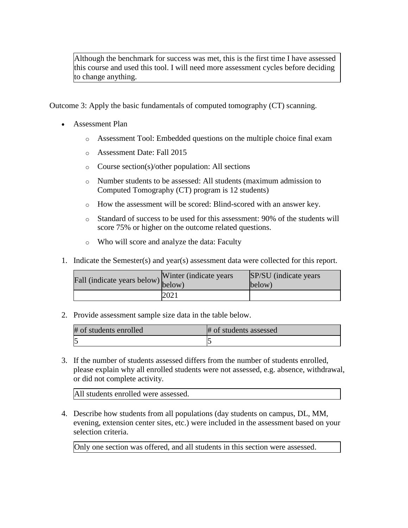Although the benchmark for success was met, this is the first time I have assessed this course and used this tool. I will need more assessment cycles before deciding to change anything.

Outcome 3: Apply the basic fundamentals of computed tomography (CT) scanning.

- Assessment Plan
	- o Assessment Tool: Embedded questions on the multiple choice final exam
	- o Assessment Date: Fall 2015
	- o Course section(s)/other population: All sections
	- o Number students to be assessed: All students (maximum admission to Computed Tomography (CT) program is 12 students)
	- o How the assessment will be scored: Blind-scored with an answer key.
	- o Standard of success to be used for this assessment: 90% of the students will score 75% or higher on the outcome related questions.
	- o Who will score and analyze the data: Faculty
- 1. Indicate the Semester(s) and year(s) assessment data were collected for this report.

| Fall (indicate years below) $\begin{bmatrix}$ <sup>w inter</sup> | Winter (indicate years) | SP/SU (indicate years)<br>below) |
|------------------------------------------------------------------|-------------------------|----------------------------------|
|                                                                  | 2021                    |                                  |

2. Provide assessment sample size data in the table below.

| # of students enrolled | # of students assessed |
|------------------------|------------------------|
|                        |                        |

3. If the number of students assessed differs from the number of students enrolled, please explain why all enrolled students were not assessed, e.g. absence, withdrawal, or did not complete activity.

All students enrolled were assessed.

4. Describe how students from all populations (day students on campus, DL, MM, evening, extension center sites, etc.) were included in the assessment based on your selection criteria.

Only one section was offered, and all students in this section were assessed.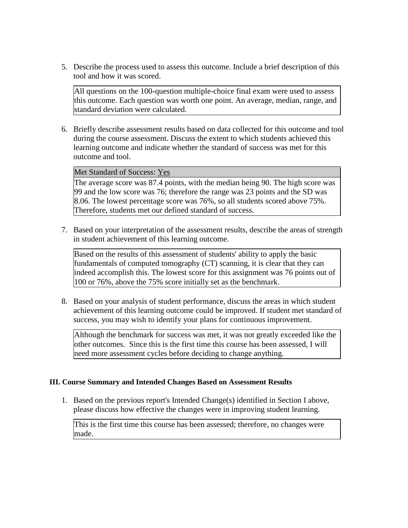5. Describe the process used to assess this outcome. Include a brief description of this tool and how it was scored.

All questions on the 100-question multiple-choice final exam were used to assess this outcome. Each question was worth one point. An average, median, range, and standard deviation were calculated.

6. Briefly describe assessment results based on data collected for this outcome and tool during the course assessment. Discuss the extent to which students achieved this learning outcome and indicate whether the standard of success was met for this outcome and tool.

Met Standard of Success: Yes

The average score was 87.4 points, with the median being 90. The high score was 99 and the low score was 76; therefore the range was 23 points and the SD was 8.06. The lowest percentage score was 76%, so all students scored above 75%. Therefore, students met our defined standard of success.

7. Based on your interpretation of the assessment results, describe the areas of strength in student achievement of this learning outcome.

Based on the results of this assessment of students' ability to apply the basic fundamentals of computed tomography (CT) scanning, it is clear that they can indeed accomplish this. The lowest score for this assignment was 76 points out of 100 or 76%, above the 75% score initially set as the benchmark.

8. Based on your analysis of student performance, discuss the areas in which student achievement of this learning outcome could be improved. If student met standard of success, you may wish to identify your plans for continuous improvement.

Although the benchmark for success was met, it was not greatly exceeded like the other outcomes. Since this is the first time this course has been assessed, I will need more assessment cycles before deciding to change anything.

## **III. Course Summary and Intended Changes Based on Assessment Results**

1. Based on the previous report's Intended Change(s) identified in Section I above, please discuss how effective the changes were in improving student learning.

This is the first time this course has been assessed; therefore, no changes were made.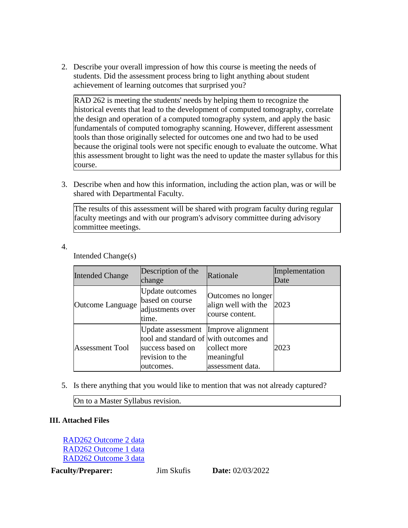2. Describe your overall impression of how this course is meeting the needs of students. Did the assessment process bring to light anything about student achievement of learning outcomes that surprised you?

RAD 262 is meeting the students' needs by helping them to recognize the historical events that lead to the development of computed tomography, correlate the design and operation of a computed tomography system, and apply the basic fundamentals of computed tomography scanning. However, different assessment tools than those originally selected for outcomes one and two had to be used because the original tools were not specific enough to evaluate the outcome. What this assessment brought to light was the need to update the master syllabus for this course.

3. Describe when and how this information, including the action plan, was or will be shared with Departmental Faculty.

The results of this assessment will be shared with program faculty during regular faculty meetings and with our program's advisory committee during advisory committee meetings.

4.

Intended Change(s)

| <b>Intended Change</b> | Description of the<br>change                                                                                                        | Rationale                                                    | Implementation<br>Date |
|------------------------|-------------------------------------------------------------------------------------------------------------------------------------|--------------------------------------------------------------|------------------------|
| Outcome Language       | <b>Update outcomes</b><br>based on course<br>adjustments over<br>time.                                                              | Outcomes no longer<br>align well with the<br>course content. | 2023                   |
| <b>Assessment Tool</b> | Update assessment   Improve alignment<br>tool and standard of with outcomes and<br>success based on<br>revision to the<br>outcomes. | collect more<br>meaningful<br>assessment data.               | 2023                   |

5. Is there anything that you would like to mention that was not already captured?

On to a Master Syllabus revision.

# **III. Attached Files**

[RAD262 Outcome 2 data](documents/Column%20Statistics%20?%20RAD%20262_%20Principles%20of%20CT%20Section%2001..Outcome%202.pdf) [RAD262 Outcome 1 data](documents/Column%20Statistics%20?%20RAD%20262_%20Principles%20of%20CT%20Section%2001..Outcome%201.pdf) [RAD262 Outcome 3 data](documents/Column%20Statistics%20?%20RAD%20262_%20Principles%20of%20CT%20Section%2001..Outcome%203.pdf)